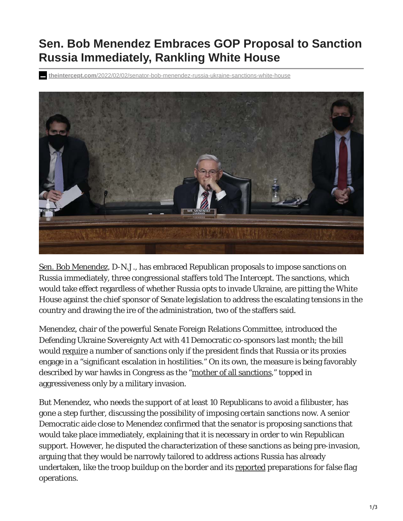## **Sen. Bob Menendez Embraces GOP Proposal to Sanction Russia Immediately, Rankling White House**

**theintercept.com**/2022/02/02/senator-bob-menendez-russia-ukraine-sanctions-white-house



Sen. Bob Menendez, D-N.J., has embraced Republican proposals to impose sanctions on Russia immediately, three congressional staffers told The Intercept. The sanctions, which would take effect regardless of whether Russia opts to invade Ukraine, are pitting the White House against the chief sponsor of Senate legislation to address the escalating tensions in the country and drawing the ire of the administration, two of the staffers said.

Menendez, chair of the powerful Senate Foreign Relations Committee, introduced the Defending Ukraine Sovereignty Act with 41 Democratic co-sponsors last month; the bill would require a number of sanctions only if the president finds that Russia or its proxies engage in a "significant escalation in hostilities." On its own, the measure is being favorably described by war hawks in Congress as the "mother of all sanctions," topped in aggressiveness only by a military invasion.

But Menendez, who needs the support of at least 10 Republicans to avoid a filibuster, has gone a step further, discussing the possibility of imposing certain sanctions now. A senior Democratic aide close to Menendez confirmed that the senator is proposing sanctions that would take place immediately, explaining that it is necessary in order to win Republican support. However, he disputed the characterization of these sanctions as being pre-invasion, arguing that they would be narrowly tailored to address actions Russia has already undertaken, like the troop buildup on the border and its reported preparations for false flag operations.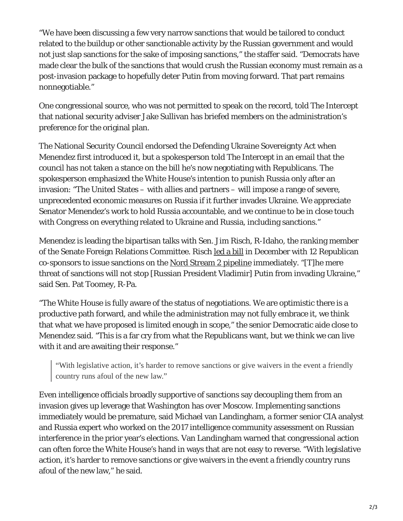"We have been discussing a few very narrow sanctions that would be tailored to conduct related to the buildup or other sanctionable activity by the Russian government and would not just slap sanctions for the sake of imposing sanctions," the staffer said. "Democrats have made clear the bulk of the sanctions that would crush the Russian economy must remain as a post-invasion package to hopefully deter Putin from moving forward. That part remains nonnegotiable."

One congressional source, who was not permitted to speak on the record, told The Intercept that national security adviser Jake Sullivan has briefed members on the administration's preference for the original plan.

The National Security Council endorsed the Defending Ukraine Sovereignty Act when Menendez first introduced it, but a spokesperson told The Intercept in an email that the council has not taken a stance on the bill he's now negotiating with Republicans. The spokesperson emphasized the White House's intention to punish Russia only after an invasion: "The United States – with allies and partners – will impose a range of severe, unprecedented economic measures on Russia if it further invades Ukraine. We appreciate Senator Menendez's work to hold Russia accountable, and we continue to be in close touch with Congress on everything related to Ukraine and Russia, including sanctions."

Menendez is leading the bipartisan talks with Sen. Jim Risch, R-Idaho, the ranking member of the Senate Foreign Relations Committee. Risch led a bill in December with 12 Republican co-sponsors to issue sanctions on the Nord Stream 2 pipeline immediately. "[T]he mere threat of sanctions will not stop [Russian President Vladimir] Putin from invading Ukraine," said Sen. Pat Toomey, R-Pa.

"The White House is fully aware of the status of negotiations. We are optimistic there is a productive path forward, and while the administration may not fully embrace it, we think that what we have proposed is limited enough in scope," the senior Democratic aide close to Menendez said. "This is a far cry from what the Republicans want, but we think we can live with it and are awaiting their response."

"With legislative action, it's harder to remove sanctions or give waivers in the event a friendly country runs afoul of the new law."

Even intelligence officials broadly supportive of sanctions say decoupling them from an invasion gives up leverage that Washington has over Moscow. Implementing sanctions immediately would be premature, said Michael van Landingham, a former senior CIA analyst and Russia expert who worked on the 2017 intelligence community assessment on Russian interference in the prior year's elections. Van Landingham warned that congressional action can often force the White House's hand in ways that are not easy to reverse. "With legislative action, it's harder to remove sanctions or give waivers in the event a friendly country runs afoul of the new law," he said.